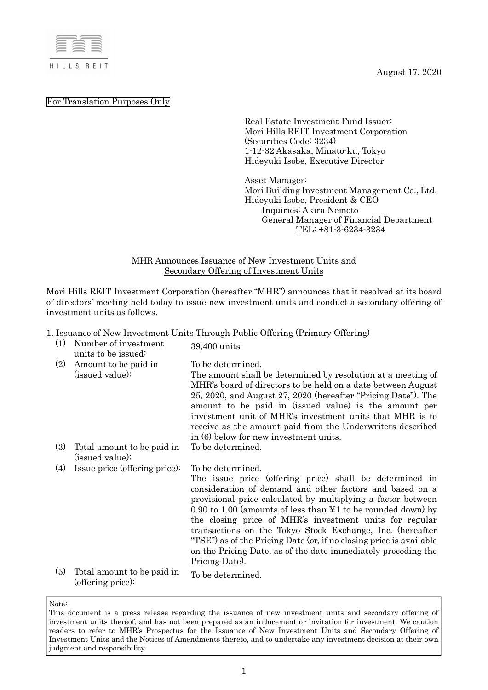

August 17, 2020

For Translation Purposes Only

Real Estate Investment Fund Issuer: Mori Hills REIT Investment Corporation (Securities Code: 3234) 1-12-32 Akasaka, Minato-ku, Tokyo Hideyuki Isobe, Executive Director

Asset Manager: Mori Building Investment Management Co., Ltd. Hideyuki Isobe, President & CEO Inquiries: Akira Nemoto General Manager of Financial Department TEL: +81-3-6234-3234

MHR Announces Issuance of New Investment Units and Secondary Offering of Investment Units

Mori Hills REIT Investment Corporation (hereafter "MHR") announces that it resolved at its board of directors' meeting held today to issue new investment units and conduct a secondary offering of investment units as follows.

1. Issuance of New Investment Units Through Public Offering (Primary Offering)

| (1) | Number of investment<br>units to be issued:     | $\frac{1}{1000}$ of 1100 millions only the sense only of $\frac{1}{1000}$<br>39,400 units                                                                                                                                                                                                                                                                                                                                                                                                                                                                    |
|-----|-------------------------------------------------|--------------------------------------------------------------------------------------------------------------------------------------------------------------------------------------------------------------------------------------------------------------------------------------------------------------------------------------------------------------------------------------------------------------------------------------------------------------------------------------------------------------------------------------------------------------|
| (2) | Amount to be paid in<br>(issued value):         | To be determined.<br>The amount shall be determined by resolution at a meeting of<br>MHR's board of directors to be held on a date between August<br>25, 2020, and August 27, 2020 (hereafter "Pricing Date"). The<br>amount to be paid in (issued value) is the amount per<br>investment unit of MHR's investment units that MHR is to<br>receive as the amount paid from the Underwriters described<br>in (6) below for new investment units.                                                                                                              |
| (3) | Total amount to be paid in<br>(issued value):   | To be determined.                                                                                                                                                                                                                                                                                                                                                                                                                                                                                                                                            |
| (4) | Issue price (offering price):                   | To be determined.<br>The issue price (offering price) shall be determined in<br>consideration of demand and other factors and based on a<br>provisional price calculated by multiplying a factor between<br>$0.90$ to 1.00 (amounts of less than ¥1 to be rounded down) by<br>the closing price of MHR's investment units for regular<br>transactions on the Tokyo Stock Exchange, Inc. (hereafter<br>"TSE") as of the Pricing Date (or, if no closing price is available<br>on the Pricing Date, as of the date immediately preceding the<br>Pricing Date). |
| (5) | Total amount to be paid in<br>(offering price): | To be determined.                                                                                                                                                                                                                                                                                                                                                                                                                                                                                                                                            |

This document is a press release regarding the issuance of new investment units and secondary offering of investment units thereof, and has not been prepared as an inducement or invitation for investment. We caution readers to refer to MHR's Prospectus for the Issuance of New Investment Units and Secondary Offering of Investment Units and the Notices of Amendments thereto, and to undertake any investment decision at their own judgment and responsibility.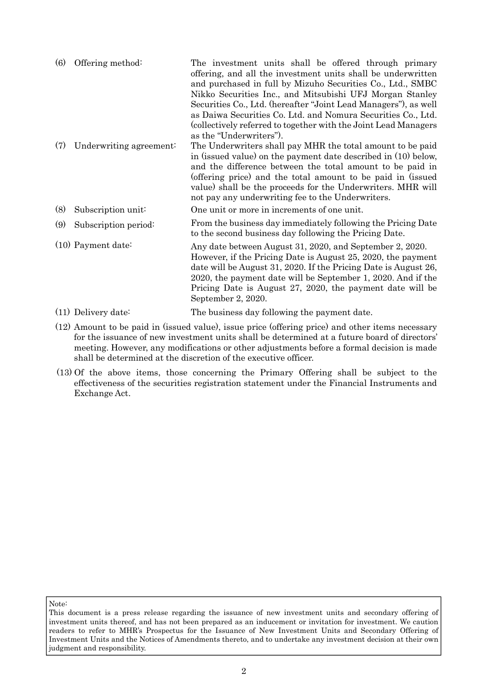| (6) | Offering method:        | The investment units shall be offered through primary<br>offering, and all the investment units shall be underwritten<br>and purchased in full by Mizuho Securities Co., Ltd., SMBC<br>Nikko Securities Inc., and Mitsubishi UFJ Morgan Stanley<br>Securities Co., Ltd. (hereafter "Joint Lead Managers"), as well<br>as Daiwa Securities Co. Ltd. and Nomura Securities Co., Ltd.<br>(collectively referred to together with the Joint Lead Managers<br>as the "Underwriters"). |
|-----|-------------------------|----------------------------------------------------------------------------------------------------------------------------------------------------------------------------------------------------------------------------------------------------------------------------------------------------------------------------------------------------------------------------------------------------------------------------------------------------------------------------------|
| (7) | Underwriting agreement: | The Underwriters shall pay MHR the total amount to be paid<br>in (issued value) on the payment date described in (10) below,<br>and the difference between the total amount to be paid in<br>(offering price) and the total amount to be paid in (issued<br>value) shall be the proceeds for the Underwriters. MHR will<br>not pay any underwriting fee to the Underwriters.                                                                                                     |
| (8) | Subscription unit:      | One unit or more in increments of one unit.                                                                                                                                                                                                                                                                                                                                                                                                                                      |
| (9) | Subscription period:    | From the business day immediately following the Pricing Date<br>to the second business day following the Pricing Date.                                                                                                                                                                                                                                                                                                                                                           |
|     | $(10)$ Payment date:    | Any date between August 31, 2020, and September 2, 2020.<br>However, if the Pricing Date is August 25, 2020, the payment<br>date will be August 31, 2020. If the Pricing Date is August 26,<br>2020, the payment date will be September 1, 2020. And if the<br>Pricing Date is August 27, 2020, the payment date will be<br>September 2, 2020.                                                                                                                                   |

- (11) Delivery date: The business day following the payment date.
- (12) Amount to be paid in (issued value), issue price (offering price) and other items necessary for the issuance of new investment units shall be determined at a future board of directors' meeting. However, any modifications or other adjustments before a formal decision is made shall be determined at the discretion of the executive officer.
- (13) Of the above items, those concerning the Primary Offering shall be subject to the effectiveness of the securities registration statement under the Financial Instruments and Exchange Act.

This document is a press release regarding the issuance of new investment units and secondary offering of investment units thereof, and has not been prepared as an inducement or invitation for investment. We caution readers to refer to MHR's Prospectus for the Issuance of New Investment Units and Secondary Offering of Investment Units and the Notices of Amendments thereto, and to undertake any investment decision at their own judgment and responsibility.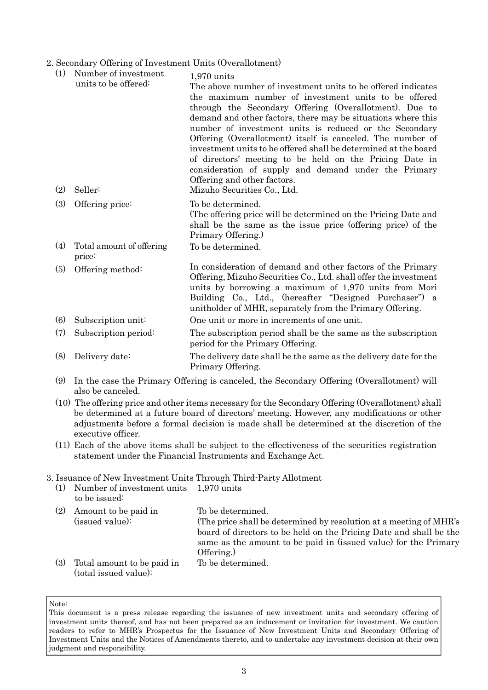2. Secondary Offering of Investment Units (Overallotment)

| (1) | Number of investment<br>units to be offered: | $1,970$ units<br>The above number of investment units to be offered indicates<br>the maximum number of investment units to be offered<br>through the Secondary Offering (Overallotment). Due to<br>demand and other factors, there may be situations where this<br>number of investment units is reduced or the Secondary<br>Offering (Overallotment) itself is canceled. The number of<br>investment units to be offered shall be determined at the board<br>of directors' meeting to be held on the Pricing Date in<br>consideration of supply and demand under the Primary<br>Offering and other factors. |
|-----|----------------------------------------------|--------------------------------------------------------------------------------------------------------------------------------------------------------------------------------------------------------------------------------------------------------------------------------------------------------------------------------------------------------------------------------------------------------------------------------------------------------------------------------------------------------------------------------------------------------------------------------------------------------------|
| (2) | Seller:                                      | Mizuho Securities Co., Ltd.                                                                                                                                                                                                                                                                                                                                                                                                                                                                                                                                                                                  |
| (3) | Offering price:                              | To be determined.<br>(The offering price will be determined on the Pricing Date and<br>shall be the same as the issue price (offering price) of the<br>Primary Offering.)                                                                                                                                                                                                                                                                                                                                                                                                                                    |
| (4) | Total amount of offering<br>price:           | To be determined.                                                                                                                                                                                                                                                                                                                                                                                                                                                                                                                                                                                            |
| (5) | Offering method:                             | In consideration of demand and other factors of the Primary<br>Offering, Mizuho Securities Co., Ltd. shall offer the investment<br>units by borrowing a maximum of 1,970 units from Mori<br>Building Co., Ltd., (hereafter "Designed Purchaser") a<br>unitholder of MHR, separately from the Primary Offering.                                                                                                                                                                                                                                                                                               |
| (6) | Subscription unit:                           | One unit or more in increments of one unit.                                                                                                                                                                                                                                                                                                                                                                                                                                                                                                                                                                  |
| (7) | Subscription period:                         | The subscription period shall be the same as the subscription<br>period for the Primary Offering.                                                                                                                                                                                                                                                                                                                                                                                                                                                                                                            |
| (8) | Delivery date:                               | The delivery date shall be the same as the delivery date for the<br>Primary Offering.                                                                                                                                                                                                                                                                                                                                                                                                                                                                                                                        |
|     |                                              |                                                                                                                                                                                                                                                                                                                                                                                                                                                                                                                                                                                                              |

- (9) In the case the Primary Offering is canceled, the Secondary Offering (Overallotment) will also be canceled.
- (10) The offering price and other items necessary for the Secondary Offering (Overallotment) shall be determined at a future board of directors' meeting. However, any modifications or other adjustments before a formal decision is made shall be determined at the discretion of the executive officer.
- (11) Each of the above items shall be subject to the effectiveness of the securities registration statement under the Financial Instruments and Exchange Act.

### 3. Issuance of New Investment Units Through Third-Party Allotment

(1) Number of investment units to be issued: 1,970 units (2) Amount to be paid in (issued value): To be determined. (The price shall be determined by resolution at a meeting of MHR's board of directors to be held on the Pricing Date and shall be the same as the amount to be paid in (issued value) for the Primary Offering.) (3) Total amount to be paid in (total issued value): To be determined.

This document is a press release regarding the issuance of new investment units and secondary offering of investment units thereof, and has not been prepared as an inducement or invitation for investment. We caution readers to refer to MHR's Prospectus for the Issuance of New Investment Units and Secondary Offering of Investment Units and the Notices of Amendments thereto, and to undertake any investment decision at their own judgment and responsibility.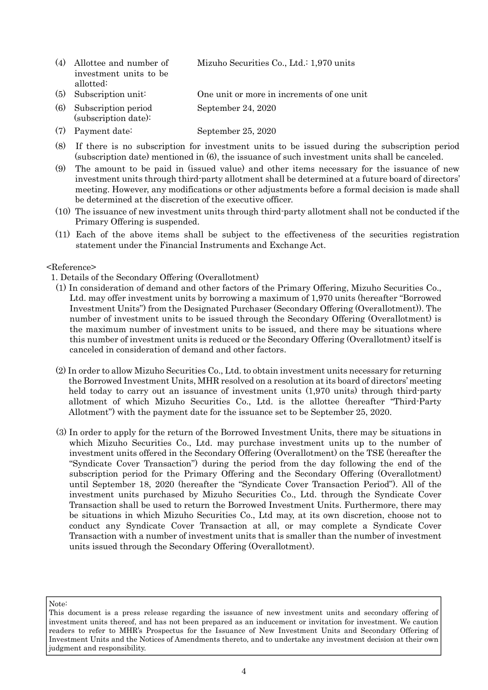| (4) Allottee and number of | Mizuho Securities Co., Ltd.: 1,970 units   |
|----------------------------|--------------------------------------------|
| investment units to be     |                                            |
| allotted:                  |                                            |
| $(5)$ Subscription unit:   | One unit or more in increments of one unit |
| (6) Subscription period    | September 24, 2020                         |

(7) Payment date: September 25, 2020

(subscription date):

- (8) If there is no subscription for investment units to be issued during the subscription period (subscription date) mentioned in (6), the issuance of such investment units shall be canceled.
- (9) The amount to be paid in (issued value) and other items necessary for the issuance of new investment units through third-party allotment shall be determined at a future board of directors' meeting. However, any modifications or other adjustments before a formal decision is made shall be determined at the discretion of the executive officer.
- (10) The issuance of new investment units through third-party allotment shall not be conducted if the Primary Offering is suspended.
- (11) Each of the above items shall be subject to the effectiveness of the securities registration statement under the Financial Instruments and Exchange Act.

### <Reference>

1. Details of the Secondary Offering (Overallotment)

- (1) In consideration of demand and other factors of the Primary Offering, Mizuho Securities Co., Ltd. may offer investment units by borrowing a maximum of 1,970 units (hereafter "Borrowed Investment Units") from the Designated Purchaser (Secondary Offering (Overallotment)). The number of investment units to be issued through the Secondary Offering (Overallotment) is the maximum number of investment units to be issued, and there may be situations where this number of investment units is reduced or the Secondary Offering (Overallotment) itself is canceled in consideration of demand and other factors.
- (2) In order to allow Mizuho Securities Co., Ltd. to obtain investment units necessary for returning the Borrowed Investment Units, MHR resolved on a resolution at its board of directors' meeting held today to carry out an issuance of investment units (1,970 units) through third-party allotment of which Mizuho Securities Co., Ltd. is the allottee (hereafter "Third-Party Allotment") with the payment date for the issuance set to be September 25, 2020.
- (3) In order to apply for the return of the Borrowed Investment Units, there may be situations in which Mizuho Securities Co., Ltd. may purchase investment units up to the number of investment units offered in the Secondary Offering (Overallotment) on the TSE (hereafter the "Syndicate Cover Transaction") during the period from the day following the end of the subscription period for the Primary Offering and the Secondary Offering (Overallotment) until September 18, 2020 (hereafter the "Syndicate Cover Transaction Period"). All of the investment units purchased by Mizuho Securities Co., Ltd. through the Syndicate Cover Transaction shall be used to return the Borrowed Investment Units. Furthermore, there may be situations in which Mizuho Securities Co., Ltd may, at its own discretion, choose not to conduct any Syndicate Cover Transaction at all, or may complete a Syndicate Cover Transaction with a number of investment units that is smaller than the number of investment units issued through the Secondary Offering (Overallotment).

This document is a press release regarding the issuance of new investment units and secondary offering of investment units thereof, and has not been prepared as an inducement or invitation for investment. We caution readers to refer to MHR's Prospectus for the Issuance of New Investment Units and Secondary Offering of Investment Units and the Notices of Amendments thereto, and to undertake any investment decision at their own judgment and responsibility.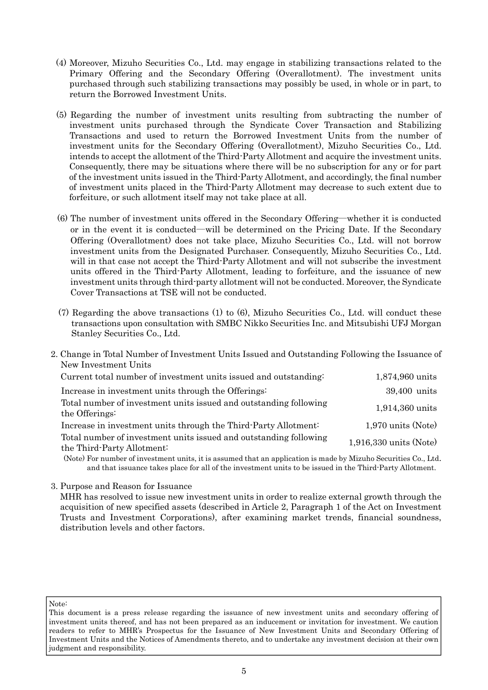- (4) Moreover, Mizuho Securities Co., Ltd. may engage in stabilizing transactions related to the Primary Offering and the Secondary Offering (Overallotment). The investment units purchased through such stabilizing transactions may possibly be used, in whole or in part, to return the Borrowed Investment Units.
- (5) Regarding the number of investment units resulting from subtracting the number of investment units purchased through the Syndicate Cover Transaction and Stabilizing Transactions and used to return the Borrowed Investment Units from the number of investment units for the Secondary Offering (Overallotment), Mizuho Securities Co., Ltd. intends to accept the allotment of the Third-Party Allotment and acquire the investment units. Consequently, there may be situations where there will be no subscription for any or for part of the investment units issued in the Third-Party Allotment, and accordingly, the final number of investment units placed in the Third-Party Allotment may decrease to such extent due to forfeiture, or such allotment itself may not take place at all.
- (6) The number of investment units offered in the Secondary Offering―whether it is conducted or in the event it is conducted―will be determined on the Pricing Date. If the Secondary Offering (Overallotment) does not take place, Mizuho Securities Co., Ltd. will not borrow investment units from the Designated Purchaser. Consequently, Mizuho Securities Co., Ltd. will in that case not accept the Third-Party Allotment and will not subscribe the investment units offered in the Third-Party Allotment, leading to forfeiture, and the issuance of new investment units through third-party allotment will not be conducted. Moreover, the Syndicate Cover Transactions at TSE will not be conducted.
- (7) Regarding the above transactions (1) to (6), Mizuho Securities Co., Ltd. will conduct these transactions upon consultation with SMBC Nikko Securities Inc. and Mitsubishi UFJ Morgan Stanley Securities Co., Ltd.
- 2. Change in Total Number of Investment Units Issued and Outstanding Following the Issuance of New Investment Units Current total number of investment units issued and outstanding: 1,874,960 units Increase in investment units through the Offerings: 39,400 units Total number of investment units issued and outstanding following the Offerings: 1,914,360 units Increase in investment units through the Third-Party Allotment: 1,970 units (Note) Total number of investment units issued and outstanding following the Third-Party Allotment: 1,916,330 units (Note)

(Note) For number of investment units, it is assumed that an application is made by Mizuho Securities Co., Ltd. and that issuance takes place for all of the investment units to be issued in the Third-Party Allotment.

3. Purpose and Reason for Issuance

MHR has resolved to issue new investment units in order to realize external growth through the acquisition of new specified assets (described in Article 2, Paragraph 1 of the Act on Investment Trusts and Investment Corporations), after examining market trends, financial soundness, distribution levels and other factors.

This document is a press release regarding the issuance of new investment units and secondary offering of investment units thereof, and has not been prepared as an inducement or invitation for investment. We caution readers to refer to MHR's Prospectus for the Issuance of New Investment Units and Secondary Offering of Investment Units and the Notices of Amendments thereto, and to undertake any investment decision at their own judgment and responsibility.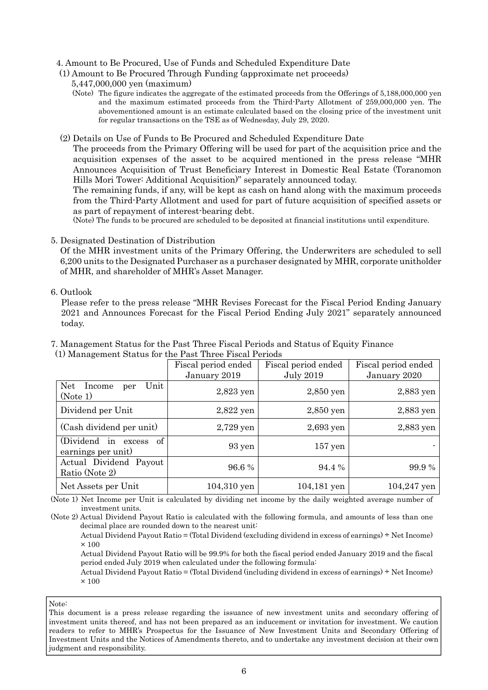### 4. Amount to Be Procured, Use of Funds and Scheduled Expenditure Date

#### (1) Amount to Be Procured Through Funding (approximate net proceeds)

- 5,447,000,000 yen (maximum)
- (Note) The figure indicates the aggregate of the estimated proceeds from the Offerings of 5,188,000,000 yen and the maximum estimated proceeds from the Third-Party Allotment of 259,000,000 yen. The abovementioned amount is an estimate calculated based on the closing price of the investment unit for regular transactions on the TSE as of Wednesday, July 29, 2020.

#### (2) Details on Use of Funds to Be Procured and Scheduled Expenditure Date

The proceeds from the Primary Offering will be used for part of the acquisition price and the acquisition expenses of the asset to be acquired mentioned in the press release "MHR Announces Acquisition of Trust Beneficiary Interest in Domestic Real Estate (Toranomon Hills Mori Tower: Additional Acquisition)" separately announced today.

The remaining funds, if any, will be kept as cash on hand along with the maximum proceeds from the Third-Party Allotment and used for part of future acquisition of specified assets or as part of repayment of interest-bearing debt.

(Note) The funds to be procured are scheduled to be deposited at financial institutions until expenditure.

### 5. Designated Destination of Distribution

Of the MHR investment units of the Primary Offering, the Underwriters are scheduled to sell 6,200 units to the Designated Purchaser as a purchaser designated by MHR, corporate unitholder of MHR, and shareholder of MHR's Asset Manager.

### 6. Outlook

Please refer to the press release "MHR Revises Forecast for the Fiscal Period Ending January 2021 and Announces Forecast for the Fiscal Period Ending July 2021" separately announced today.

7. Management Status for the Past Three Fiscal Periods and Status of Equity Finance

|                                                 | Fiscal period ended<br>January 2019 | Fiscal period ended<br><b>July 2019</b> | Fiscal period ended<br>January 2020 |
|-------------------------------------------------|-------------------------------------|-----------------------------------------|-------------------------------------|
| <b>Net</b><br>Unit<br>Income<br>per<br>(Note 1) | $2,823$ yen                         | $2,850$ yen                             | 2,883 yen                           |
| Dividend per Unit                               | $2,822$ yen                         | $2,850$ yen                             | $2,883$ yen                         |
| (Cash dividend per unit)                        | $2,729$ yen                         | $2,693$ yen                             | $2,883$ yen                         |
| (Dividend in excess<br>of<br>earnings per unit) | 93 yen                              | $157$ yen                               |                                     |
| Actual Dividend Payout<br>Ratio (Note 2)        | 96.6%                               | 94.4 %                                  | 99.9 %                              |
| Net Assets per Unit                             | $104,310$ yen                       | 104,181 yen                             | $104,247$ yen                       |

(1) Management Status for the Past Three Fiscal Periods

(Note 1) Net Income per Unit is calculated by dividing net income by the daily weighted average number of investment units.

(Note 2) Actual Dividend Payout Ratio is calculated with the following formula, and amounts of less than one decimal place are rounded down to the nearest unit:

Actual Dividend Payout Ratio = (Total Dividend (excluding dividend in excess of earnings) ÷ Net Income)  $\times$  100

Actual Dividend Payout Ratio will be 99.9% for both the fiscal period ended January 2019 and the fiscal period ended July 2019 when calculated under the following formula:

Actual Dividend Payout Ratio = (Total Dividend (including dividend in excess of earnings) ÷ Net Income)  $\times$  100

Note:

This document is a press release regarding the issuance of new investment units and secondary offering of investment units thereof, and has not been prepared as an inducement or invitation for investment. We caution readers to refer to MHR's Prospectus for the Issuance of New Investment Units and Secondary Offering of Investment Units and the Notices of Amendments thereto, and to undertake any investment decision at their own judgment and responsibility.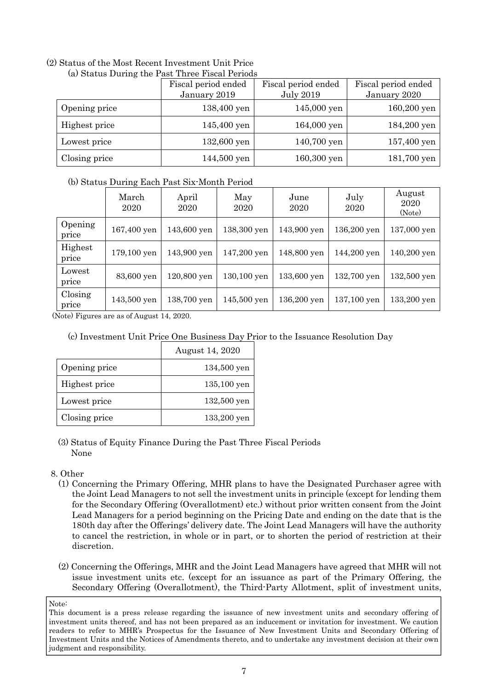#### (2) Status of the Most Recent Investment Unit Price (a) Status During the Past Three Fiscal Periods

|               | Fiscal period ended | Fiscal period ended | Fiscal period ended |
|---------------|---------------------|---------------------|---------------------|
|               | January 2019        | <b>July 2019</b>    | January 2020        |
| Opening price | 138,400 yen         | $145,000$ yen       | 160,200 yen         |
| Highest price | 145,400 yen         | 164,000 yen         | 184,200 yen         |
| Lowest price  | 132,600 yen         | 140,700 yen         | 157,400 yen         |
| Closing price | 144,500 yen         | 160,300 yen         | 181,700 yen         |

# (b) Status During Each Past Six-Month Period

|                  | March<br>2020 | April<br>2020 | May<br>2020   | June<br>2020 | July<br>2020 | August<br>2020<br>(Note) |
|------------------|---------------|---------------|---------------|--------------|--------------|--------------------------|
| Opening<br>price | 167,400 yen   | 143,600 yen   | 138,300 yen   | 143,900 yen  | 136,200 yen  | 137,000 yen              |
| Highest<br>price | 179,100 yen   | 143,900 yen   | 147,200 yen   | 148,800 yen  | 144,200 yen  | 140,200 yen              |
| Lowest<br>price  | 83,600 yen    | 120,800 yen   | 130,100 yen   | 133,600 yen  | 132,700 yen  | 132,500 yen              |
| Closing<br>price | 143,500 yen   | 138,700 yen   | $145,500$ yen | 136,200 yen  | 137,100 yen  | 133,200 yen              |

(Note) Figures are as of August 14, 2020.

# (c) Investment Unit Price One Business Day Prior to the Issuance Resolution Day

|               | August 14, 2020 |
|---------------|-----------------|
| Opening price | 134,500 yen     |
| Highest price | 135,100 yen     |
| Lowest price  | 132,500 yen     |
| Closing price | 133,200 yen     |

(3) Status of Equity Finance During the Past Three Fiscal Periods None

# 8. Other

- (1) Concerning the Primary Offering, MHR plans to have the Designated Purchaser agree with the Joint Lead Managers to not sell the investment units in principle (except for lending them for the Secondary Offering (Overallotment) etc.) without prior written consent from the Joint Lead Managers for a period beginning on the Pricing Date and ending on the date that is the 180th day after the Offerings' delivery date. The Joint Lead Managers will have the authority to cancel the restriction, in whole or in part, or to shorten the period of restriction at their discretion.
- (2) Concerning the Offerings, MHR and the Joint Lead Managers have agreed that MHR will not issue investment units etc. (except for an issuance as part of the Primary Offering, the Secondary Offering (Overallotment), the Third-Party Allotment, split of investment units,

This document is a press release regarding the issuance of new investment units and secondary offering of investment units thereof, and has not been prepared as an inducement or invitation for investment. We caution readers to refer to MHR's Prospectus for the Issuance of New Investment Units and Secondary Offering of Investment Units and the Notices of Amendments thereto, and to undertake any investment decision at their own judgment and responsibility.